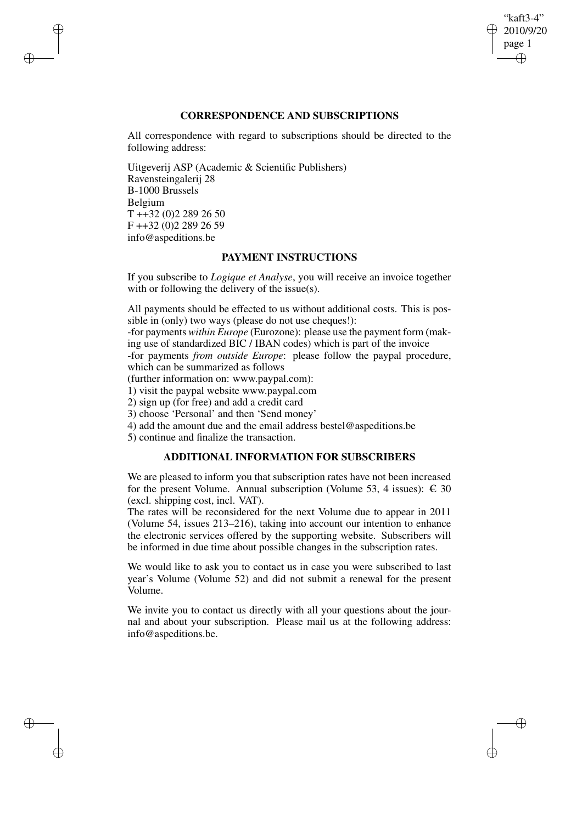## "kaft3-4" 2010/9/20 page 1 ✐ ✐

✐

✐

# **CORRESPONDENCE AND SUBSCRIPTIONS**

All correspondence with regard to subscriptions should be directed to the following address:

Uitgeverij ASP (Academic & Scientific Publishers) Ravensteingalerij 28 B-1000 Brussels Belgium T ++32 (0)2 289 26 50 F ++32 (0)2 289 26 59 info@aspeditions.be

✐

✐

✐

✐

## **PAYMENT INSTRUCTIONS**

If you subscribe to *Logique et Analyse*, you will receive an invoice together with or following the delivery of the issue(s).

All payments should be effected to us without additional costs. This is possible in (only) two ways (please do not use cheques!):

-for payments *within Europe* (Eurozone): please use the payment form (making use of standardized BIC / IBAN codes) which is part of the invoice

-for payments *from outside Europe*: please follow the paypal procedure, which can be summarized as follows

(further information on: www.paypal.com):

1) visit the paypal website www.paypal.com

2) sign up (for free) and add a credit card

3) choose 'Personal' and then 'Send money'

4) add the amount due and the email address bestel@aspeditions.be

5) continue and finalize the transaction.

# **ADDITIONAL INFORMATION FOR SUBSCRIBERS**

We are pleased to inform you that subscription rates have not been increased for the present Volume. Annual subscription (Volume 53, 4 issues):  $\in$  30 (excl. shipping cost, incl. VAT).

The rates will be reconsidered for the next Volume due to appear in 2011 (Volume 54, issues 213–216), taking into account our intention to enhance the electronic services offered by the supporting website. Subscribers will be informed in due time about possible changes in the subscription rates.

We would like to ask you to contact us in case you were subscribed to last year's Volume (Volume 52) and did not submit a renewal for the present Volume.

We invite you to contact us directly with all your questions about the journal and about your subscription. Please mail us at the following address: info@aspeditions.be.